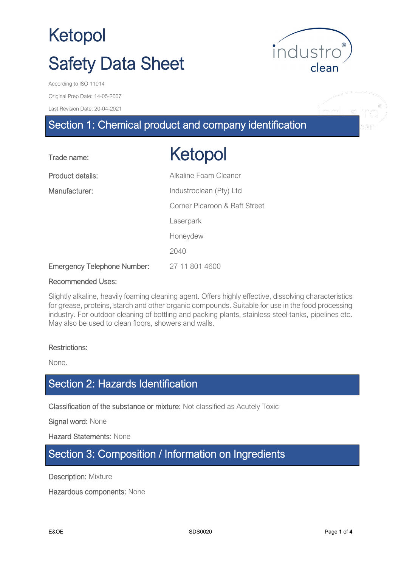

Original Prep Date: 14-05-2007

Last Revision Date: 20-04-2021

# Section 1: Chemical product and company identification

| Trade name:                        | Ketopol                       |
|------------------------------------|-------------------------------|
| Product details:                   | Alkaline Foam Cleaner         |
| Manufacturer:                      | Industroclean (Pty) Ltd       |
|                                    | Corner Picaroon & Raft Street |
|                                    | Laserpark                     |
|                                    | Honeydew                      |
|                                    | 2040                          |
| <b>Emergency Telephone Number:</b> | 27 11 801 4600                |

#### Recommended Uses:

Slightly alkaline, heavily foaming cleaning agent. Offers highly effective, dissolving characteristics for grease, proteins, starch and other organic compounds. Suitable for use in the food processing industry. For outdoor cleaning of bottling and packing plants, stainless steel tanks, pipelines etc. May also be used to clean floors, showers and walls.

#### Restrictions:

None.

# Section 2: Hazards Identification

Classification of the substance or mixture: Not classified as Acutely Toxic

Signal word: None

Hazard Statements: None

### Section 3: Composition / Information on Ingredients

**Description: Mixture** 

Hazardous components: None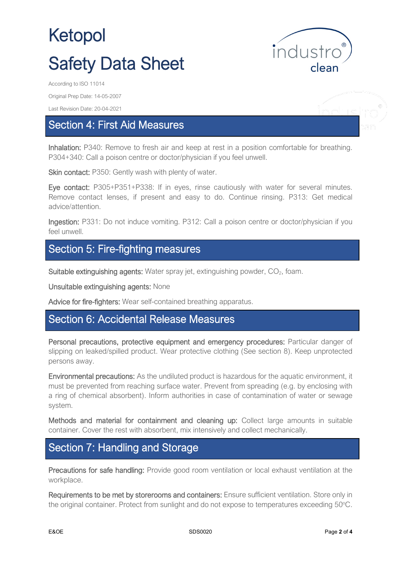

Original Prep Date: 14-05-2007

Last Revision Date: 20-04-2021

### Section 4: First Aid Measures

Inhalation: P340: Remove to fresh air and keep at rest in a position comfortable for breathing. P304+340: Call a poison centre or doctor/physician if you feel unwell.

Skin contact: P350: Gently wash with plenty of water.

Eye contact: P305+P351+P338: If in eyes, rinse cautiously with water for several minutes. Remove contact lenses, if present and easy to do. Continue rinsing. P313: Get medical advice/attention.

Ingestion: P331: Do not induce vomiting. P312: Call a poison centre or doctor/physician if you feel unwell.

# Section 5: Fire-fighting measures

Suitable extinguishing agents: Water spray jet, extinguishing powder,  $CO<sub>2</sub>$ , foam.

Unsuitable extinguishing agents: None

Advice for fire-fighters: Wear self-contained breathing apparatus.

#### Section 6: Accidental Release Measures

Personal precautions, protective equipment and emergency procedures: Particular danger of slipping on leaked/spilled product. Wear protective clothing (See section 8). Keep unprotected persons away.

Environmental precautions: As the undiluted product is hazardous for the aquatic environment, it must be prevented from reaching surface water. Prevent from spreading (e.g. by enclosing with a ring of chemical absorbent). Inform authorities in case of contamination of water or sewage system.

Methods and material for containment and cleaning up: Collect large amounts in suitable container. Cover the rest with absorbent, mix intensively and collect mechanically.

## Section 7: Handling and Storage

Precautions for safe handling: Provide good room ventilation or local exhaust ventilation at the workplace.

Requirements to be met by storerooms and containers: Ensure sufficient ventilation. Store only in the original container. Protect from sunlight and do not expose to temperatures exceeding 50°C.

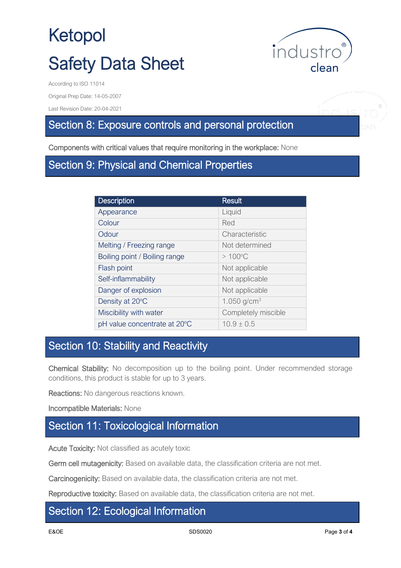

nduc

Original Prep Date: 14-05-2007

Last Revision Date: 20-04-2021

## Section 8: Exposure controls and personal protection

Components with critical values that require monitoring in the workplace: None

### Section 9: Physical and Chemical Properties

| <b>Description</b>            | <b>Result</b>       |
|-------------------------------|---------------------|
| Appearance                    | Liquid              |
| Colour                        | Red                 |
| Odour                         | Characteristic      |
| Melting / Freezing range      | Not determined      |
| Boiling point / Boiling range | $>100^{\circ}$ C    |
| Flash point                   | Not applicable      |
| Self-inflammability           | Not applicable      |
| Danger of explosion           | Not applicable      |
| Density at 20°C               | 1.050 $g/cm^{3}$    |
| Miscibility with water        | Completely miscible |
| pH value concentrate at 20°C  | $10.9 \pm 0.5$      |

# Section 10: Stability and Reactivity

Chemical Stability: No decomposition up to the boiling point. Under recommended storage conditions, this product is stable for up to 3 years.

Reactions: No dangerous reactions known.

Incompatible Materials: None

### Section 11: Toxicological Information

Acute Toxicity: Not classified as acutely toxic

Germ cell mutagenicity: Based on available data, the classification criteria are not met.

Carcinogenicity: Based on available data, the classification criteria are not met.

Reproductive toxicity: Based on available data, the classification criteria are not met.

#### Section 12: Ecological Information